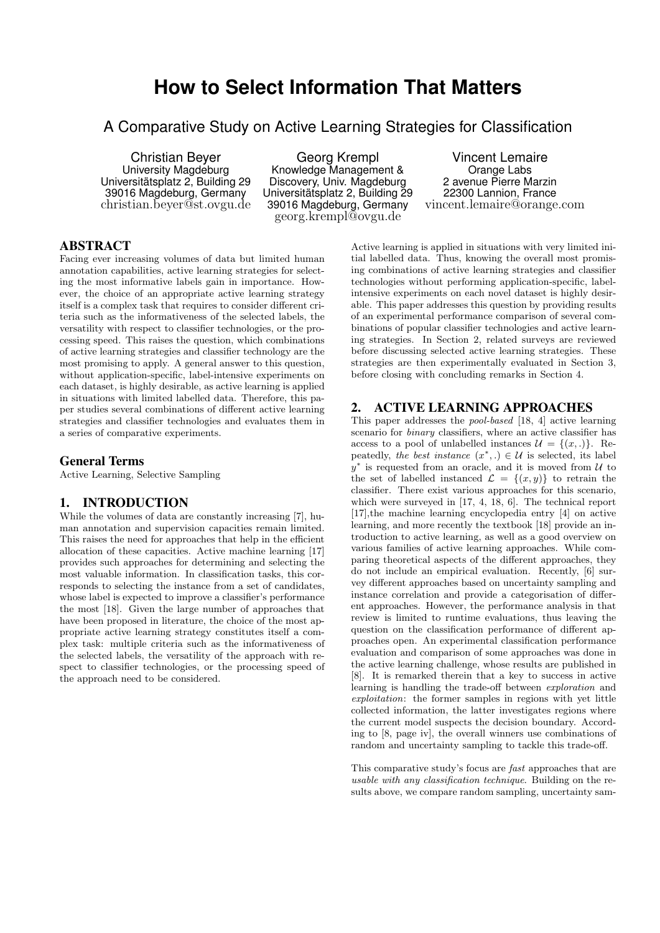# **How to Select Information That Matters**

A Comparative Study on Active Learning Strategies for Classification

Christian Beyer University Magdeburg Universitätsplatz 2, Building 29 39016 Magdeburg, Germany christian.beyer@st.ovgu.de

Georg Krempl Knowledge Management & Discovery, Univ. Magdeburg Universitätsplatz 2, Building 29 39016 Magdeburg, Germany georg.krempl@ovgu.de

Vincent Lemaire Orange Labs 2 avenue Pierre Marzin 22300 Lannion, France vincent.lemaire@orange.com

# ABSTRACT

Facing ever increasing volumes of data but limited human annotation capabilities, active learning strategies for selecting the most informative labels gain in importance. However, the choice of an appropriate active learning strategy itself is a complex task that requires to consider different criteria such as the informativeness of the selected labels, the versatility with respect to classifier technologies, or the processing speed. This raises the question, which combinations of active learning strategies and classifier technology are the most promising to apply. A general answer to this question, without application-specific, label-intensive experiments on each dataset, is highly desirable, as active learning is applied in situations with limited labelled data. Therefore, this paper studies several combinations of different active learning strategies and classifier technologies and evaluates them in a series of comparative experiments.

#### General Terms

Active Learning, Selective Sampling

#### 1. INTRODUCTION

While the volumes of data are constantly increasing [7], human annotation and supervision capacities remain limited. This raises the need for approaches that help in the efficient allocation of these capacities. Active machine learning [17] provides such approaches for determining and selecting the most valuable information. In classification tasks, this corresponds to selecting the instance from a set of candidates, whose label is expected to improve a classifier's performance the most [18]. Given the large number of approaches that have been proposed in literature, the choice of the most appropriate active learning strategy constitutes itself a complex task: multiple criteria such as the informativeness of the selected labels, the versatility of the approach with respect to classifier technologies, or the processing speed of the approach need to be considered.

Active learning is applied in situations with very limited initial labelled data. Thus, knowing the overall most promising combinations of active learning strategies and classifier technologies without performing application-specific, labelintensive experiments on each novel dataset is highly desirable. This paper addresses this question by providing results of an experimental performance comparison of several combinations of popular classifier technologies and active learning strategies. In Section 2, related surveys are reviewed before discussing selected active learning strategies. These strategies are then experimentally evaluated in Section 3, before closing with concluding remarks in Section 4.

## 2. ACTIVE LEARNING APPROACHES

This paper addresses the pool-based [18, 4] active learning scenario for *binary* classifiers, where an active classifier has access to a pool of unlabelled instances  $\mathcal{U} = \{(x, .)\}\$ . Repeatedly, the best instance  $(x^*,.) \in \mathcal{U}$  is selected, its label  $y^*$  is requested from an oracle, and it is moved from  $\mathcal U$  to the set of labelled instanced  $\mathcal{L} = \{(x, y)\}\)$  to retrain the classifier. There exist various approaches for this scenario, which were surveyed in [17, 4, 18, 6]. The technical report [17],the machine learning encyclopedia entry [4] on active learning, and more recently the textbook [18] provide an introduction to active learning, as well as a good overview on various families of active learning approaches. While comparing theoretical aspects of the different approaches, they do not include an empirical evaluation. Recently, [6] survey different approaches based on uncertainty sampling and instance correlation and provide a categorisation of different approaches. However, the performance analysis in that review is limited to runtime evaluations, thus leaving the question on the classification performance of different approaches open. An experimental classification performance evaluation and comparison of some approaches was done in the active learning challenge, whose results are published in [8]. It is remarked therein that a key to success in active learning is handling the trade-off between exploration and exploitation: the former samples in regions with yet little collected information, the latter investigates regions where the current model suspects the decision boundary. According to [8, page iv], the overall winners use combinations of random and uncertainty sampling to tackle this trade-off.

This comparative study's focus are fast approaches that are usable with any classification technique. Building on the results above, we compare random sampling, uncertainty sam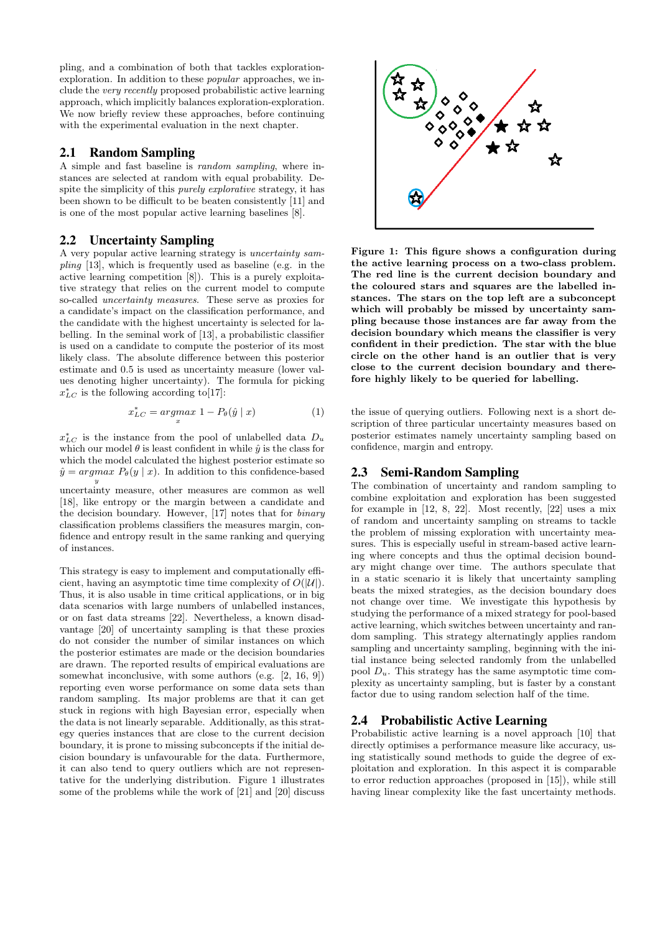pling, and a combination of both that tackles explorationexploration. In addition to these popular approaches, we include the very recently proposed probabilistic active learning approach, which implicitly balances exploration-exploration. We now briefly review these approaches, before continuing with the experimental evaluation in the next chapter.

#### 2.1 Random Sampling

A simple and fast baseline is random sampling, where instances are selected at random with equal probability. Despite the simplicity of this purely explorative strategy, it has been shown to be difficult to be beaten consistently [11] and is one of the most popular active learning baselines [8].

#### 2.2 Uncertainty Sampling

A very popular active learning strategy is uncertainty sam*pling* [13], which is frequently used as baseline (e.g. in the active learning competition [8]). This is a purely exploitative strategy that relies on the current model to compute so-called uncertainty measures. These serve as proxies for a candidate's impact on the classification performance, and the candidate with the highest uncertainty is selected for labelling. In the seminal work of [13], a probabilistic classifier is used on a candidate to compute the posterior of its most likely class. The absolute difference between this posterior estimate and 0.5 is used as uncertainty measure (lower values denoting higher uncertainty). The formula for picking  $x_{LC}^*$  is the following according to [17]:

$$
x_{LC}^* = \underset{x}{\operatorname{argmax}} 1 - P_{\theta}(\hat{y} \mid x) \tag{1}
$$

 $x_{LC}^*$  is the instance from the pool of unlabelled data  $D_u$ which our model  $\theta$  is least confident in while  $\hat{y}$  is the class for which the model calculated the highest posterior estimate so  $\hat{y} = argmax P_{\theta}(y | x)$ . In addition to this confidence-based  $\overline{y}$ 

uncertainty measure, other measures are common as well [18], like entropy or the margin between a candidate and the decision boundary. However, [17] notes that for binary classification problems classifiers the measures margin, confidence and entropy result in the same ranking and querying of instances.

This strategy is easy to implement and computationally efficient, having an asymptotic time time complexity of  $O(|\mathcal{U}|)$ . Thus, it is also usable in time critical applications, or in big data scenarios with large numbers of unlabelled instances, or on fast data streams [22]. Nevertheless, a known disadvantage [20] of uncertainty sampling is that these proxies do not consider the number of similar instances on which the posterior estimates are made or the decision boundaries are drawn. The reported results of empirical evaluations are somewhat inconclusive, with some authors (e.g. [2, 16, 9]) reporting even worse performance on some data sets than random sampling. Its major problems are that it can get stuck in regions with high Bayesian error, especially when the data is not linearly separable. Additionally, as this strategy queries instances that are close to the current decision boundary, it is prone to missing subconcepts if the initial decision boundary is unfavourable for the data. Furthermore, it can also tend to query outliers which are not representative for the underlying distribution. Figure 1 illustrates some of the problems while the work of [21] and [20] discuss



Figure 1: This figure shows a configuration during the active learning process on a two-class problem. The red line is the current decision boundary and the coloured stars and squares are the labelled instances. The stars on the top left are a subconcept which will probably be missed by uncertainty sampling because those instances are far away from the decision boundary which means the classifier is very confident in their prediction. The star with the blue circle on the other hand is an outlier that is very close to the current decision boundary and therefore highly likely to be queried for labelling.

the issue of querying outliers. Following next is a short description of three particular uncertainty measures based on posterior estimates namely uncertainty sampling based on confidence, margin and entropy.

#### 2.3 Semi-Random Sampling

The combination of uncertainty and random sampling to combine exploitation and exploration has been suggested for example in [12, 8, 22]. Most recently, [22] uses a mix of random and uncertainty sampling on streams to tackle the problem of missing exploration with uncertainty measures. This is especially useful in stream-based active learning where concepts and thus the optimal decision boundary might change over time. The authors speculate that in a static scenario it is likely that uncertainty sampling beats the mixed strategies, as the decision boundary does not change over time. We investigate this hypothesis by studying the performance of a mixed strategy for pool-based active learning, which switches between uncertainty and random sampling. This strategy alternatingly applies random sampling and uncertainty sampling, beginning with the initial instance being selected randomly from the unlabelled pool  $D_u$ . This strategy has the same asymptotic time complexity as uncertainty sampling, but is faster by a constant factor due to using random selection half of the time.

# 2.4 Probabilistic Active Learning

Probabilistic active learning is a novel approach [10] that directly optimises a performance measure like accuracy, using statistically sound methods to guide the degree of exploitation and exploration. In this aspect it is comparable to error reduction approaches (proposed in [15]), while still having linear complexity like the fast uncertainty methods.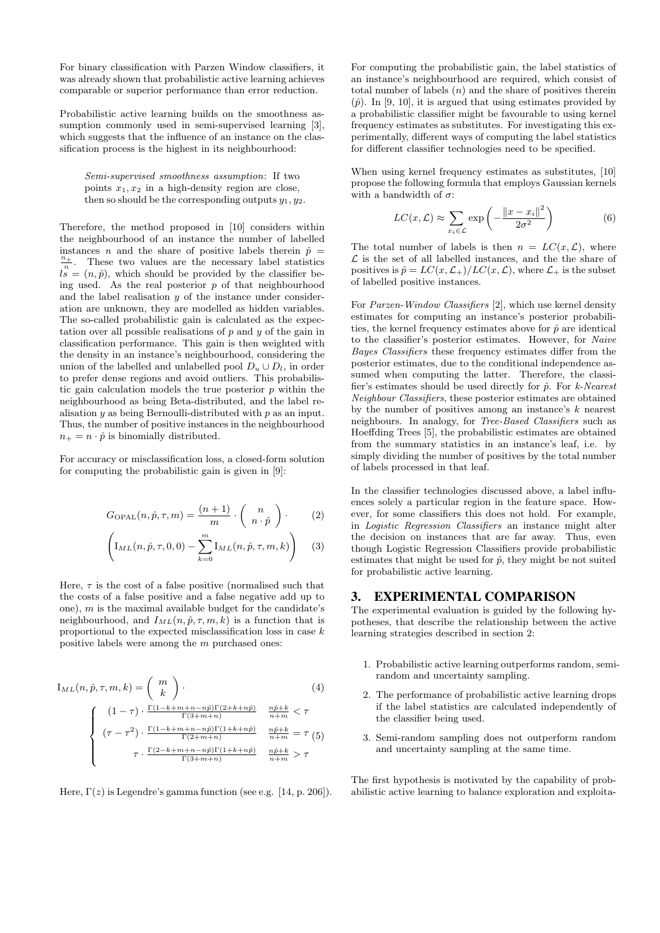For binary classification with Parzen Window classifiers, it was already shown that probabilistic active learning achieves comparable or superior performance than error reduction.

Probabilistic active learning builds on the smoothness assumption commonly used in semi-supervised learning [3], which suggests that the influence of an instance on the classification process is the highest in its neighbourhood:

Semi-supervised smoothness assumption: If two points  $x_1, x_2$  in a high-density region are close, then so should be the corresponding outputs  $y_1, y_2$ .

Therefore, the method proposed in [10] considers within the neighbourhood of an instance the number of labelled instances n and the share of positive labels therein  $\hat{p}$  =  $\frac{n_+}{n}$ . These two values are the necessary label statistics  $\lim_{n \to \infty}$  is a finite two values are the necessary note statistics ing used. As the real posterior  $p$  of that neighbourhood and the label realisation  $y$  of the instance under consideration are unknown, they are modelled as hidden variables. The so-called probabilistic gain is calculated as the expectation over all possible realisations of  $p$  and  $y$  of the gain in classification performance. This gain is then weighted with the density in an instance's neighbourhood, considering the union of the labelled and unlabelled pool  $D_u \cup D_l$ , in order to prefer dense regions and avoid outliers. This probabilistic gain calculation models the true posterior  $p$  within the neighbourhood as being Beta-distributed, and the label realisation  $y$  as being Bernoulli-distributed with  $p$  as an input. Thus, the number of positive instances in the neighbourhood  $n_+ = n \cdot \hat{p}$  is binomially distributed.

For accuracy or misclassification loss, a closed-form solution for computing the probabilistic gain is given in [9]:

$$
G_{\text{OPAL}}(n, \hat{p}, \tau, m) = \frac{(n+1)}{m} \cdot \left(\begin{array}{c} n \\ n \cdot \hat{p} \end{array}\right). \tag{2}
$$

$$
\left(\mathrm{I}_{ML}(n,\hat{p},\tau,0,0)-\sum_{k=0}^{m}\mathrm{I}_{ML}(n,\hat{p},\tau,m,k)\right) (3)
$$

Here,  $\tau$  is the cost of a false positive (normalised such that the costs of a false positive and a false negative add up to one),  $m$  is the maximal available budget for the candidate's neighbourhood, and  $I_{ML}(n, \hat{p}, \tau, m, k)$  is a function that is proportional to the expected misclassification loss in case k positive labels were among the m purchased ones:

$$
I_{ML}(n, \hat{p}, \tau, m, k) = {m \choose k}.
$$
\n
$$
\begin{cases}\n(1-\tau) \cdot \frac{\Gamma(1-k+m+n-n\hat{p})\Gamma(2+k+n\hat{p})}{\Gamma(3+m+n)} & \frac{n\hat{p}+k}{n+m} < \tau \\
(\tau-\tau^2) \cdot \frac{\Gamma(1-k+m+n-n\hat{p})\Gamma(1+k+n\hat{p})}{\Gamma(2+m+n)} & \frac{n\hat{p}+k}{n+m} = \tau (5) \\
\tau \cdot \frac{\Gamma(2-k+m+n-n\hat{p})\Gamma(1+k+n\hat{p})}{\Gamma(3+m+n)} & \frac{n\hat{p}+k}{n+m} > \tau\n\end{cases}
$$

Here,  $\Gamma(z)$  is Legendre's gamma function (see e.g. [14, p. 206]).

For computing the probabilistic gain, the label statistics of an instance's neighbourhood are required, which consist of total number of labels  $(n)$  and the share of positives therein  $(\hat{p})$ . In [9, 10], it is argued that using estimates provided by a probabilistic classifier might be favourable to using kernel frequency estimates as substitutes. For investigating this experimentally, different ways of computing the label statistics for different classifier technologies need to be specified.

When using kernel frequency estimates as substitutes, [10] propose the following formula that employs Gaussian kernels with a bandwidth of  $\sigma$ :

$$
LC(x,\mathcal{L}) \approx \sum_{x_i \in \mathcal{L}} \exp\left(-\frac{\|x - x_i\|^2}{2\sigma^2}\right) \tag{6}
$$

The total number of labels is then  $n = LC(x, \mathcal{L})$ , where  $\mathcal L$  is the set of all labelled instances, and the the share of positives is  $\hat{p} = LC(x, \mathcal{L}_+) / LC(x, \mathcal{L})$ , where  $\mathcal{L}_+$  is the subset of labelled positive instances.

For Parzen-Window Classifiers [2], which use kernel density estimates for computing an instance's posterior probabilities, the kernel frequency estimates above for  $\hat{p}$  are identical to the classifier's posterior estimates. However, for Naive Bayes Classifiers these frequency estimates differ from the posterior estimates, due to the conditional independence assumed when computing the latter. Therefore, the classifier's estimates should be used directly for  $\hat{p}$ . For k-Nearest Neighbour Classifiers, these posterior estimates are obtained by the number of positives among an instance's  $k$  nearest neighbours. In analogy, for Tree-Based Classifiers such as Hoeffding Trees [5], the probabilistic estimates are obtained from the summary statistics in an instance's leaf, i.e. by simply dividing the number of positives by the total number of labels processed in that leaf.

In the classifier technologies discussed above, a label influences solely a particular region in the feature space. However, for some classifiers this does not hold. For example, in Logistic Regression Classifiers an instance might alter the decision on instances that are far away. Thus, even though Logistic Regression Classifiers provide probabilistic estimates that might be used for  $\hat{p}$ , they might be not suited for probabilistic active learning.

#### 3. EXPERIMENTAL COMPARISON

The experimental evaluation is guided by the following hypotheses, that describe the relationship between the active learning strategies described in section 2:

- 1. Probabilistic active learning outperforms random, semirandom and uncertainty sampling.
- 2. The performance of probabilistic active learning drops if the label statistics are calculated independently of the classifier being used.
- 3. Semi-random sampling does not outperform random and uncertainty sampling at the same time.

The first hypothesis is motivated by the capability of probabilistic active learning to balance exploration and exploita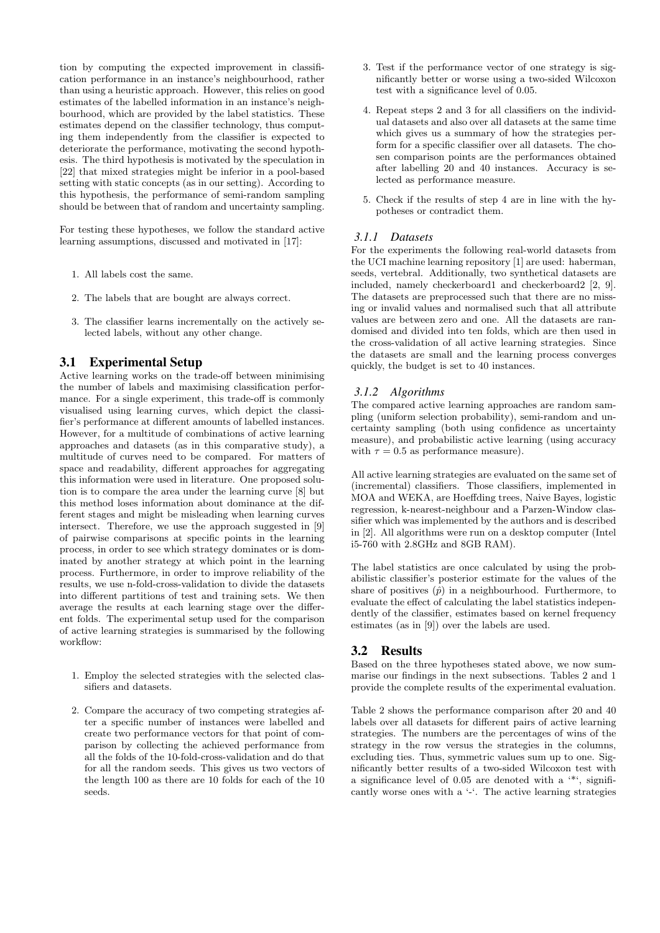tion by computing the expected improvement in classification performance in an instance's neighbourhood, rather than using a heuristic approach. However, this relies on good estimates of the labelled information in an instance's neighbourhood, which are provided by the label statistics. These estimates depend on the classifier technology, thus computing them independently from the classifier is expected to deteriorate the performance, motivating the second hypothesis. The third hypothesis is motivated by the speculation in [22] that mixed strategies might be inferior in a pool-based setting with static concepts (as in our setting). According to this hypothesis, the performance of semi-random sampling should be between that of random and uncertainty sampling.

For testing these hypotheses, we follow the standard active learning assumptions, discussed and motivated in [17]:

- 1. All labels cost the same.
- 2. The labels that are bought are always correct.
- 3. The classifier learns incrementally on the actively selected labels, without any other change.

# 3.1 Experimental Setup

Active learning works on the trade-off between minimising the number of labels and maximising classification performance. For a single experiment, this trade-off is commonly visualised using learning curves, which depict the classifier's performance at different amounts of labelled instances. However, for a multitude of combinations of active learning approaches and datasets (as in this comparative study), a multitude of curves need to be compared. For matters of space and readability, different approaches for aggregating this information were used in literature. One proposed solution is to compare the area under the learning curve [8] but this method loses information about dominance at the different stages and might be misleading when learning curves intersect. Therefore, we use the approach suggested in [9] of pairwise comparisons at specific points in the learning process, in order to see which strategy dominates or is dominated by another strategy at which point in the learning process. Furthermore, in order to improve reliability of the results, we use n-fold-cross-validation to divide the datasets into different partitions of test and training sets. We then average the results at each learning stage over the different folds. The experimental setup used for the comparison of active learning strategies is summarised by the following workflow:

- 1. Employ the selected strategies with the selected classifiers and datasets.
- 2. Compare the accuracy of two competing strategies after a specific number of instances were labelled and create two performance vectors for that point of comparison by collecting the achieved performance from all the folds of the 10-fold-cross-validation and do that for all the random seeds. This gives us two vectors of the length 100 as there are 10 folds for each of the 10 seeds.
- 3. Test if the performance vector of one strategy is significantly better or worse using a two-sided Wilcoxon test with a significance level of 0.05.
- 4. Repeat steps 2 and 3 for all classifiers on the individual datasets and also over all datasets at the same time which gives us a summary of how the strategies perform for a specific classifier over all datasets. The chosen comparison points are the performances obtained after labelling 20 and 40 instances. Accuracy is selected as performance measure.
- 5. Check if the results of step 4 are in line with the hypotheses or contradict them.

### *3.1.1 Datasets*

For the experiments the following real-world datasets from the UCI machine learning repository [1] are used: haberman, seeds, vertebral. Additionally, two synthetical datasets are included, namely checkerboard1 and checkerboard2 [2, 9]. The datasets are preprocessed such that there are no missing or invalid values and normalised such that all attribute values are between zero and one. All the datasets are randomised and divided into ten folds, which are then used in the cross-validation of all active learning strategies. Since the datasets are small and the learning process converges quickly, the budget is set to 40 instances.

## *3.1.2 Algorithms*

The compared active learning approaches are random sampling (uniform selection probability), semi-random and uncertainty sampling (both using confidence as uncertainty measure), and probabilistic active learning (using accuracy with  $\tau = 0.5$  as performance measure).

All active learning strategies are evaluated on the same set of (incremental) classifiers. Those classifiers, implemented in MOA and WEKA, are Hoeffding trees, Naive Bayes, logistic regression, k-nearest-neighbour and a Parzen-Window classifier which was implemented by the authors and is described in [2]. All algorithms were run on a desktop computer (Intel i5-760 with 2.8GHz and 8GB RAM).

The label statistics are once calculated by using the probabilistic classifier's posterior estimate for the values of the share of positives  $(\hat{p})$  in a neighbourhood. Furthermore, to evaluate the effect of calculating the label statistics independently of the classifier, estimates based on kernel frequency estimates (as in [9]) over the labels are used.

# 3.2 Results

Based on the three hypotheses stated above, we now summarise our findings in the next subsections. Tables 2 and 1 provide the complete results of the experimental evaluation.

Table 2 shows the performance comparison after 20 and 40 labels over all datasets for different pairs of active learning strategies. The numbers are the percentages of wins of the strategy in the row versus the strategies in the columns, excluding ties. Thus, symmetric values sum up to one. Significantly better results of a two-sided Wilcoxon test with a significance level of 0.05 are denoted with a '\*', significantly worse ones with a '-'. The active learning strategies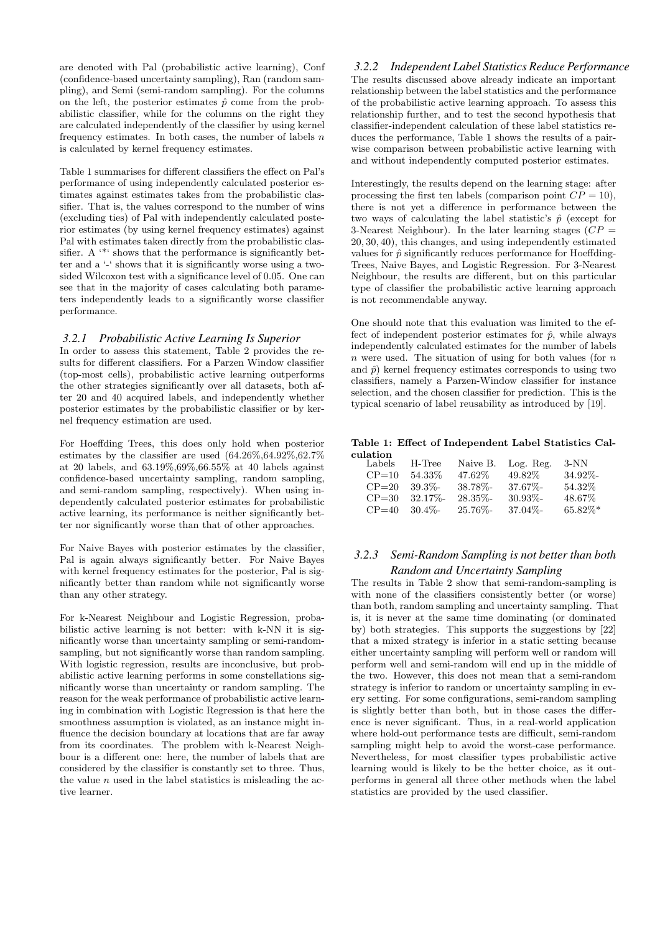are denoted with Pal (probabilistic active learning), Conf (confidence-based uncertainty sampling), Ran (random sampling), and Semi (semi-random sampling). For the columns on the left, the posterior estimates  $\hat{p}$  come from the probabilistic classifier, while for the columns on the right they are calculated independently of the classifier by using kernel frequency estimates. In both cases, the number of labels  $n$ is calculated by kernel frequency estimates.

Table 1 summarises for different classifiers the effect on Pal's performance of using independently calculated posterior estimates against estimates takes from the probabilistic classifier. That is, the values correspond to the number of wins (excluding ties) of Pal with independently calculated posterior estimates (by using kernel frequency estimates) against Pal with estimates taken directly from the probabilistic classifier. A <sup>\*\*</sup> shows that the performance is significantly better and a '-' shows that it is significantly worse using a twosided Wilcoxon test with a significance level of 0.05. One can see that in the majority of cases calculating both parameters independently leads to a significantly worse classifier performance.

#### *3.2.1 Probabilistic Active Learning Is Superior*

In order to assess this statement, Table 2 provides the results for different classifiers. For a Parzen Window classifier (top-most cells), probabilistic active learning outperforms the other strategies significantly over all datasets, both after 20 and 40 acquired labels, and independently whether posterior estimates by the probabilistic classifier or by kernel frequency estimation are used.

For Hoeffding Trees, this does only hold when posterior estimates by the classifier are used (64.26%,64.92%,62.7% at 20 labels, and 63.19%,69%,66.55% at 40 labels against confidence-based uncertainty sampling, random sampling, and semi-random sampling, respectively). When using independently calculated posterior estimates for probabilistic active learning, its performance is neither significantly better nor significantly worse than that of other approaches.

For Naive Bayes with posterior estimates by the classifier, Pal is again always significantly better. For Naive Bayes with kernel frequency estimates for the posterior, Pal is significantly better than random while not significantly worse than any other strategy.

For k-Nearest Neighbour and Logistic Regression, probabilistic active learning is not better: with k-NN it is significantly worse than uncertainty sampling or semi-randomsampling, but not significantly worse than random sampling. With logistic regression, results are inconclusive, but probabilistic active learning performs in some constellations significantly worse than uncertainty or random sampling. The reason for the weak performance of probabilistic active learning in combination with Logistic Regression is that here the smoothness assumption is violated, as an instance might influence the decision boundary at locations that are far away from its coordinates. The problem with k-Nearest Neighbour is a different one: here, the number of labels that are considered by the classifier is constantly set to three. Thus, the value  $n$  used in the label statistics is misleading the active learner.

*3.2.2 Independent Label Statistics Reduce Performance* The results discussed above already indicate an important relationship between the label statistics and the performance of the probabilistic active learning approach. To assess this relationship further, and to test the second hypothesis that classifier-independent calculation of these label statistics reduces the performance, Table 1 shows the results of a pairwise comparison between probabilistic active learning with and without independently computed posterior estimates.

Interestingly, the results depend on the learning stage: after processing the first ten labels (comparison point  $CP = 10$ ), there is not yet a difference in performance between the two ways of calculating the label statistic's  $\hat{p}$  (except for 3-Nearest Neighbour). In the later learning stages  $(CP =$ 20, 30, 40), this changes, and using independently estimated values for  $\hat{p}$  significantly reduces performance for Hoeffding-Trees, Naive Bayes, and Logistic Regression. For 3-Nearest Neighbour, the results are different, but on this particular type of classifier the probabilistic active learning approach is not recommendable anyway.

One should note that this evaluation was limited to the effect of independent posterior estimates for  $\hat{p}$ , while always independently calculated estimates for the number of labels  $n$  were used. The situation of using for both values (for  $n$ and  $\hat{p}$ ) kernel frequency estimates corresponds to using two classifiers, namely a Parzen-Window classifier for instance selection, and the chosen classifier for prediction. This is the typical scenario of label reusability as introduced by [19].

#### Table 1: Effect of Independent Label Statistics Calculation

| .<br>Labels | H-Tree      | Naive B.    | Log. Reg.   | $3-NN$     |
|-------------|-------------|-------------|-------------|------------|
| $CP = 10$   | 54.33%      | 47.62\%     | 49.82\%     | 34.92%-    |
| $CP = 20$   | $39.3\%$ -  | 38.78%-     | $37.67\%$ - | 54.32\%    |
| $CP = 30$   | $32.17\%$ - | $28.35\%$ - | $30.93\%$ - | 48.67%     |
| $CP = 40$   | $30.4\%$ -  | $25.76\%$ - | $37.04\%$ - | $65.82\%*$ |

# *3.2.3 Semi-Random Sampling is not better than both Random and Uncertainty Sampling*

The results in Table 2 show that semi-random-sampling is with none of the classifiers consistently better (or worse) than both, random sampling and uncertainty sampling. That is, it is never at the same time dominating (or dominated by) both strategies. This supports the suggestions by [22] that a mixed strategy is inferior in a static setting because either uncertainty sampling will perform well or random will perform well and semi-random will end up in the middle of the two. However, this does not mean that a semi-random strategy is inferior to random or uncertainty sampling in every setting. For some configurations, semi-random sampling is slightly better than both, but in those cases the difference is never significant. Thus, in a real-world application where hold-out performance tests are difficult, semi-random sampling might help to avoid the worst-case performance. Nevertheless, for most classifier types probabilistic active learning would is likely to be the better choice, as it outperforms in general all three other methods when the label statistics are provided by the used classifier.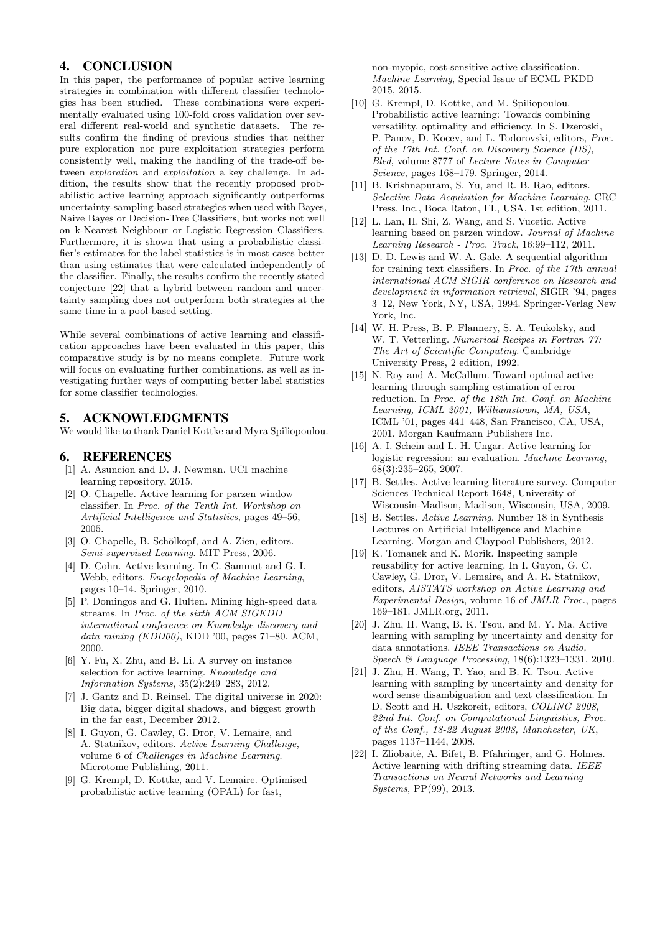# 4. CONCLUSION

In this paper, the performance of popular active learning strategies in combination with different classifier technologies has been studied. These combinations were experimentally evaluated using 100-fold cross validation over several different real-world and synthetic datasets. The results confirm the finding of previous studies that neither pure exploration nor pure exploitation strategies perform consistently well, making the handling of the trade-off between exploration and exploitation a key challenge. In addition, the results show that the recently proposed probabilistic active learning approach significantly outperforms uncertainty-sampling-based strategies when used with Bayes, Naive Bayes or Decision-Tree Classifiers, but works not well on k-Nearest Neighbour or Logistic Regression Classifiers. Furthermore, it is shown that using a probabilistic classifier's estimates for the label statistics is in most cases better than using estimates that were calculated independently of the classifier. Finally, the results confirm the recently stated conjecture [22] that a hybrid between random and uncertainty sampling does not outperform both strategies at the same time in a pool-based setting.

While several combinations of active learning and classification approaches have been evaluated in this paper, this comparative study is by no means complete. Future work will focus on evaluating further combinations, as well as investigating further ways of computing better label statistics for some classifier technologies.

#### 5. ACKNOWLEDGMENTS

We would like to thank Daniel Kottke and Myra Spiliopoulou.

## 6. REFERENCES

- [1] A. Asuncion and D. J. Newman. UCI machine learning repository, 2015.
- [2] O. Chapelle. Active learning for parzen window classifier. In Proc. of the Tenth Int. Workshop on Artificial Intelligence and Statistics, pages 49–56, 2005.
- [3] O. Chapelle, B. Schölkopf, and A. Zien, editors. Semi-supervised Learning. MIT Press, 2006.
- [4] D. Cohn. Active learning. In C. Sammut and G. I. Webb, editors, Encyclopedia of Machine Learning, pages 10–14. Springer, 2010.
- [5] P. Domingos and G. Hulten. Mining high-speed data streams. In Proc. of the sixth ACM SIGKDD international conference on Knowledge discovery and data mining (KDD00), KDD '00, pages 71–80. ACM, 2000.
- [6] Y. Fu, X. Zhu, and B. Li. A survey on instance selection for active learning. Knowledge and Information Systems, 35(2):249–283, 2012.
- [7] J. Gantz and D. Reinsel. The digital universe in 2020: Big data, bigger digital shadows, and biggest growth in the far east, December 2012.
- [8] I. Guyon, G. Cawley, G. Dror, V. Lemaire, and A. Statnikov, editors. Active Learning Challenge, volume 6 of Challenges in Machine Learning. Microtome Publishing, 2011.
- [9] G. Krempl, D. Kottke, and V. Lemaire. Optimised probabilistic active learning (OPAL) for fast,

non-myopic, cost-sensitive active classification. Machine Learning, Special Issue of ECML PKDD 2015, 2015.

- [10] G. Krempl, D. Kottke, and M. Spiliopoulou. Probabilistic active learning: Towards combining versatility, optimality and efficiency. In S. Dzeroski, P. Panov, D. Kocev, and L. Todorovski, editors, Proc. of the 17th Int. Conf. on Discovery Science (DS), Bled, volume 8777 of Lecture Notes in Computer Science, pages 168–179. Springer, 2014.
- [11] B. Krishnapuram, S. Yu, and R. B. Rao, editors. Selective Data Acquisition for Machine Learning. CRC Press, Inc., Boca Raton, FL, USA, 1st edition, 2011.
- [12] L. Lan, H. Shi, Z. Wang, and S. Vucetic. Active learning based on parzen window. Journal of Machine Learning Research - Proc. Track, 16:99–112, 2011.
- [13] D. D. Lewis and W. A. Gale. A sequential algorithm for training text classifiers. In Proc. of the 17th annual international ACM SIGIR conference on Research and development in information retrieval, SIGIR '94, pages 3–12, New York, NY, USA, 1994. Springer-Verlag New York, Inc.
- [14] W. H. Press, B. P. Flannery, S. A. Teukolsky, and W. T. Vetterling. Numerical Recipes in Fortran 77: The Art of Scientific Computing. Cambridge University Press, 2 edition, 1992.
- [15] N. Roy and A. McCallum. Toward optimal active learning through sampling estimation of error reduction. In Proc. of the 18th Int. Conf. on Machine Learning, ICML 2001, Williamstown, MA, USA, ICML '01, pages 441–448, San Francisco, CA, USA, 2001. Morgan Kaufmann Publishers Inc.
- [16] A. I. Schein and L. H. Ungar. Active learning for logistic regression: an evaluation. Machine Learning, 68(3):235–265, 2007.
- [17] B. Settles. Active learning literature survey. Computer Sciences Technical Report 1648, University of Wisconsin-Madison, Madison, Wisconsin, USA, 2009.
- [18] B. Settles. Active Learning. Number 18 in Synthesis Lectures on Artificial Intelligence and Machine Learning. Morgan and Claypool Publishers, 2012.
- [19] K. Tomanek and K. Morik. Inspecting sample reusability for active learning. In I. Guyon, G. C. Cawley, G. Dror, V. Lemaire, and A. R. Statnikov, editors, AISTATS workshop on Active Learning and Experimental Design, volume 16 of JMLR Proc., pages 169–181. JMLR.org, 2011.
- [20] J. Zhu, H. Wang, B. K. Tsou, and M. Y. Ma. Active learning with sampling by uncertainty and density for data annotations. IEEE Transactions on Audio, Speech & Language Processing, 18(6):1323–1331, 2010.
- [21] J. Zhu, H. Wang, T. Yao, and B. K. Tsou. Active learning with sampling by uncertainty and density for word sense disambiguation and text classification. In D. Scott and H. Uszkoreit, editors, COLING 2008, 22nd Int. Conf. on Computational Linguistics, Proc. of the Conf., 18-22 August 2008, Manchester, UK, pages 1137–1144, 2008.
- [22] I. Zliobaitė, A. Bifet, B. Pfahringer, and G. Holmes. Active learning with drifting streaming data. IEEE Transactions on Neural Networks and Learning Systems, PP(99), 2013.